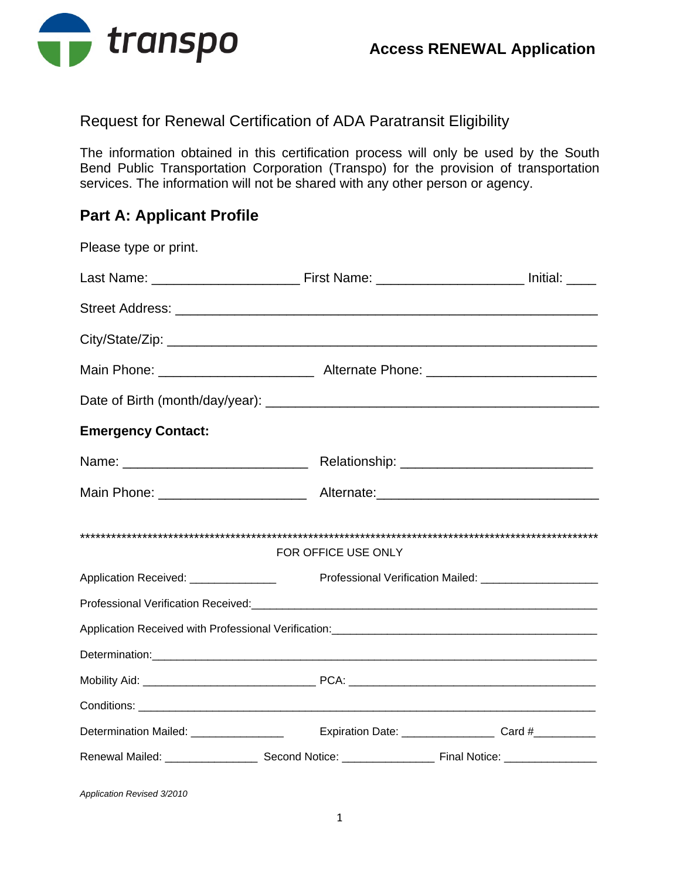

### Request for Renewal Certification of ADA Paratransit Eligibility

The information obtained in this certification process will only be used by the South Bend Public Transportation Corporation (Transpo) for the provision of transportation services. The information will not be shared with any other person or agency.

# **Part A: Applicant Profile**

| Please type or print.                 |                     |                                                           |
|---------------------------------------|---------------------|-----------------------------------------------------------|
|                                       |                     |                                                           |
|                                       |                     |                                                           |
|                                       |                     |                                                           |
|                                       |                     |                                                           |
|                                       |                     |                                                           |
| <b>Emergency Contact:</b>             |                     |                                                           |
|                                       |                     |                                                           |
|                                       |                     |                                                           |
|                                       | FOR OFFICE USE ONLY |                                                           |
| Application Received: _______________ |                     | Professional Verification Mailed: _______________________ |
|                                       |                     |                                                           |
|                                       |                     |                                                           |
|                                       |                     |                                                           |
|                                       |                     |                                                           |
|                                       |                     |                                                           |
|                                       |                     |                                                           |
|                                       |                     |                                                           |

*Application Revised 3/2010*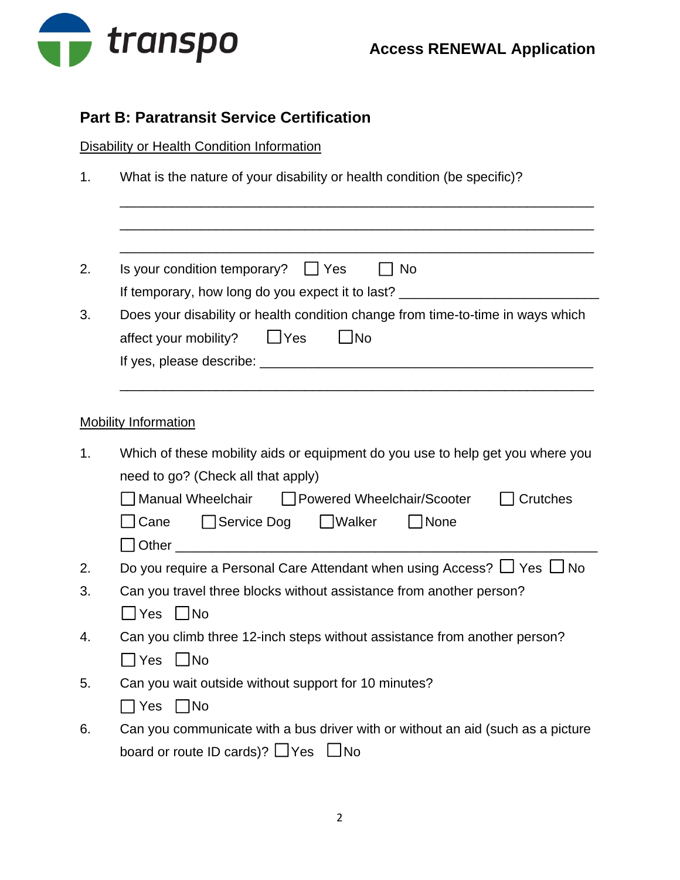

## **Part B: Paratransit Service Certification**

### **Disability or Health Condition Information**

1. What is the nature of your disability or health condition (be specific)?

\_\_\_\_\_\_\_\_\_\_\_\_\_\_\_\_\_\_\_\_\_\_\_\_\_\_\_\_\_\_\_\_\_\_\_\_\_\_\_\_\_\_\_\_\_\_\_\_\_\_\_\_\_\_\_\_\_\_\_\_\_\_\_\_

| 2. | Is your condition temporary? $\Box$ Yes<br>$\Box$ No<br>If temporary, how long do you expect it to last? _______________________________                                                                                        |  |  |
|----|---------------------------------------------------------------------------------------------------------------------------------------------------------------------------------------------------------------------------------|--|--|
| 3. | Does your disability or health condition change from time-to-time in ways which<br>$\Box$ Yes<br>$\Box$ No<br>affect your mobility?                                                                                             |  |  |
|    | <b>Mobility Information</b>                                                                                                                                                                                                     |  |  |
| 1. | Which of these mobility aids or equipment do you use to help get you where you<br>need to go? (Check all that apply)<br>Manual Wheelchair<br>□ Powered Wheelchair/Scooter<br>Crutches<br>  Cane<br>Service Dog UWalker<br> None |  |  |
| 2. | Do you require a Personal Care Attendant when using Access? $\Box$ Yes $\Box$ No                                                                                                                                                |  |  |
| 3. | Can you travel three blocks without assistance from another person?<br>$\Box$ No<br>ΠYes                                                                                                                                        |  |  |
| 4. | Can you climb three 12-inch steps without assistance from another person?<br>$\Box$ No<br>$\Box$ Yes                                                                                                                            |  |  |
| 5. | Can you wait outside without support for 10 minutes?<br>$\Box$ Yes $\Box$ No                                                                                                                                                    |  |  |
| 6. | Can you communicate with a bus driver with or without an aid (such as a picture<br>board or route ID cards)? $\Box$ Yes $\Box$ No                                                                                               |  |  |